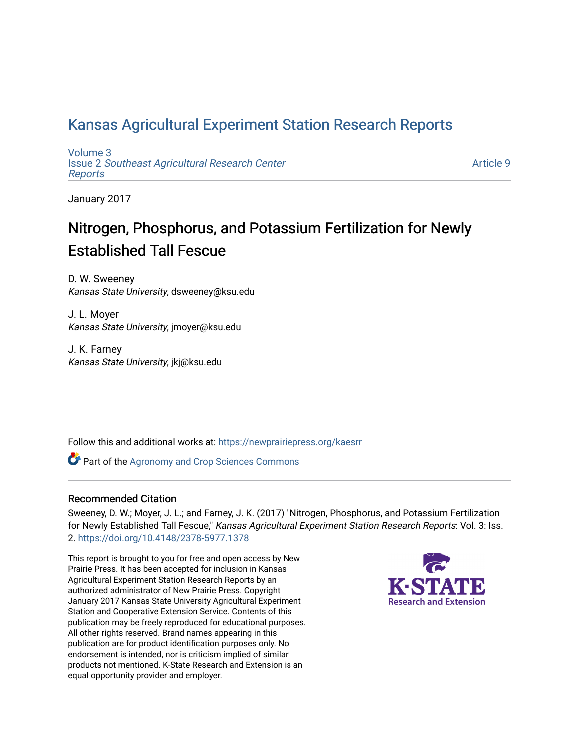## [Kansas Agricultural Experiment Station Research Reports](https://newprairiepress.org/kaesrr)

[Volume 3](https://newprairiepress.org/kaesrr/vol3) Issue 2 [Southeast Agricultural Research Center](https://newprairiepress.org/kaesrr/vol3/iss2) [Reports](https://newprairiepress.org/kaesrr/vol3/iss2)

[Article 9](https://newprairiepress.org/kaesrr/vol3/iss2/9) 

January 2017

## Nitrogen, Phosphorus, and Potassium Fertilization for Newly Established Tall Fescue

D. W. Sweeney Kansas State University, dsweeney@ksu.edu

J. L. Moyer Kansas State University, jmoyer@ksu.edu

J. K. Farney Kansas State University, jkj@ksu.edu

Follow this and additional works at: [https://newprairiepress.org/kaesrr](https://newprairiepress.org/kaesrr?utm_source=newprairiepress.org%2Fkaesrr%2Fvol3%2Fiss2%2F9&utm_medium=PDF&utm_campaign=PDFCoverPages) 

**Part of the Agronomy and Crop Sciences Commons** 

### Recommended Citation

Sweeney, D. W.; Moyer, J. L.; and Farney, J. K. (2017) "Nitrogen, Phosphorus, and Potassium Fertilization for Newly Established Tall Fescue," Kansas Agricultural Experiment Station Research Reports: Vol. 3: Iss. 2. <https://doi.org/10.4148/2378-5977.1378>

This report is brought to you for free and open access by New Prairie Press. It has been accepted for inclusion in Kansas Agricultural Experiment Station Research Reports by an authorized administrator of New Prairie Press. Copyright January 2017 Kansas State University Agricultural Experiment Station and Cooperative Extension Service. Contents of this publication may be freely reproduced for educational purposes. All other rights reserved. Brand names appearing in this publication are for product identification purposes only. No endorsement is intended, nor is criticism implied of similar products not mentioned. K-State Research and Extension is an equal opportunity provider and employer.

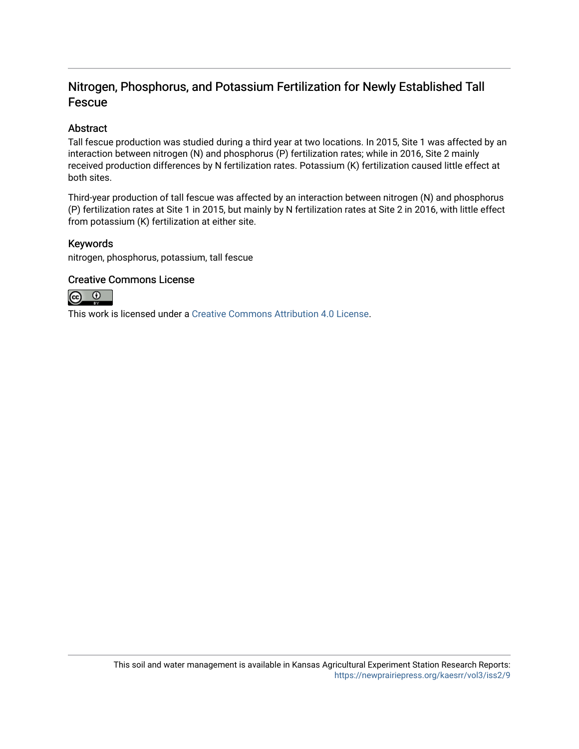## Nitrogen, Phosphorus, and Potassium Fertilization for Newly Established Tall Fescue

### Abstract

Tall fescue production was studied during a third year at two locations. In 2015, Site 1 was affected by an interaction between nitrogen (N) and phosphorus (P) fertilization rates; while in 2016, Site 2 mainly received production differences by N fertilization rates. Potassium (K) fertilization caused little effect at both sites.

Third-year production of tall fescue was affected by an interaction between nitrogen (N) and phosphorus (P) fertilization rates at Site 1 in 2015, but mainly by N fertilization rates at Site 2 in 2016, with little effect from potassium (K) fertilization at either site.

### Keywords

nitrogen, phosphorus, potassium, tall fescue

### Creative Commons License



This work is licensed under a [Creative Commons Attribution 4.0 License](https://creativecommons.org/licenses/by/4.0/).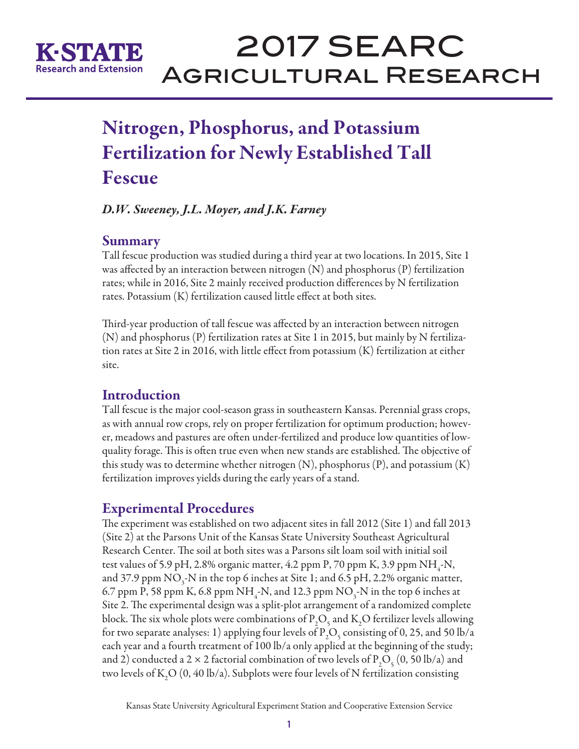

# 2017 SEARC Agricultural Research

# Nitrogen, Phosphorus, and Potassium Fertilization for Newly Established Tall Fescue

*D.W. Sweeney, J.L. Moyer, and J.K. Farney*

## Summary

Tall fescue production was studied during a third year at two locations. In 2015, Site 1 was affected by an interaction between nitrogen (N) and phosphorus (P) fertilization rates; while in 2016, Site 2 mainly received production differences by N fertilization rates. Potassium (K) fertilization caused little effect at both sites.

Third-year production of tall fescue was affected by an interaction between nitrogen (N) and phosphorus (P) fertilization rates at Site 1 in 2015, but mainly by N fertilization rates at Site 2 in 2016, with little effect from potassium (K) fertilization at either site.

## **Introduction**

Tall fescue is the major cool-season grass in southeastern Kansas. Perennial grass crops, as with annual row crops, rely on proper fertilization for optimum production; however, meadows and pastures are often under-fertilized and produce low quantities of lowquality forage. This is often true even when new stands are established. The objective of this study was to determine whether nitrogen  $(N)$ , phosphorus  $(P)$ , and potassium  $(K)$ fertilization improves yields during the early years of a stand.

## Experimental Procedures

The experiment was established on two adjacent sites in fall 2012 (Site 1) and fall 2013 (Site 2) at the Parsons Unit of the Kansas State University Southeast Agricultural Research Center. The soil at both sites was a Parsons silt loam soil with initial soil test values of 5.9 pH, 2.8% organic matter, 4.2 ppm P, 70 ppm K, 3.9 ppm  $NH_{4}$ -N, and 37.9 ppm  $\rm NO_3$ -N in the top 6 inches at Site 1; and 6.5 pH, 2.2% organic matter, 6.7 ppm P, 58 ppm K, 6.8 ppm  $NH_{4}$ -N, and 12.3 ppm  $NO_{3}$ -N in the top 6 inches at Site 2. The experimental design was a split-plot arrangement of a randomized complete block. The six whole plots were combinations of  $\rm P_2O_5$  and  $\rm K_2O$  fertilizer levels allowing for two separate analyses: 1) applying four levels of  $P_{2}O_{5}$  consisting of 0, 25, and 50 lb/a each year and a fourth treatment of 100 lb/a only applied at the beginning of the study; and 2) conducted a 2  $\times$  2 factorial combination of two levels of P<sub>2</sub>O<sub>5</sub> (0, 50 lb/a) and two levels of K<sub>2</sub>O (0, 40 lb/a). Subplots were four levels of N fertilization consisting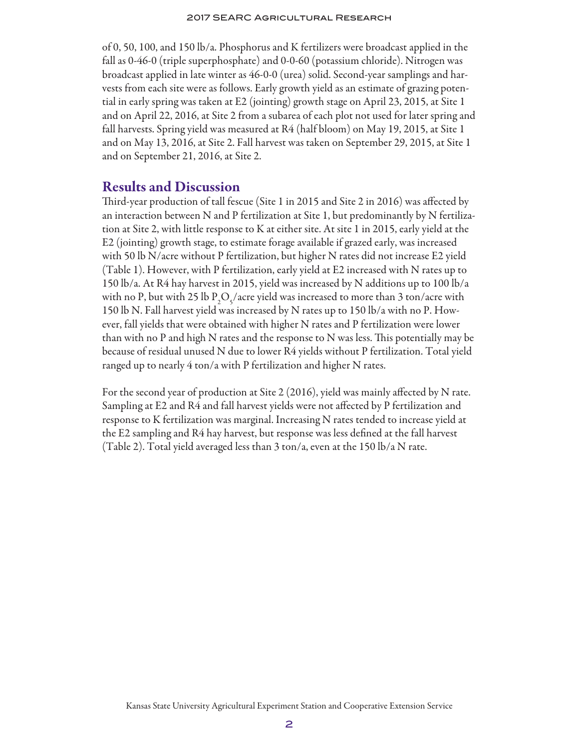of 0, 50, 100, and 150 lb/a. Phosphorus and K fertilizers were broadcast applied in the fall as 0-46-0 (triple superphosphate) and 0-0-60 (potassium chloride). Nitrogen was broadcast applied in late winter as 46-0-0 (urea) solid. Second-year samplings and harvests from each site were as follows. Early growth yield as an estimate of grazing potential in early spring was taken at E2 (jointing) growth stage on April 23, 2015, at Site 1 and on April 22, 2016, at Site 2 from a subarea of each plot not used for later spring and fall harvests. Spring yield was measured at R4 (half bloom) on May 19, 2015, at Site 1 and on May 13, 2016, at Site 2. Fall harvest was taken on September 29, 2015, at Site 1 and on September 21, 2016, at Site 2.

### Results and Discussion

Third-year production of tall fescue (Site 1 in 2015 and Site 2 in 2016) was affected by an interaction between N and P fertilization at Site 1, but predominantly by N fertilization at Site 2, with little response to K at either site. At site 1 in 2015, early yield at the E2 (jointing) growth stage, to estimate forage available if grazed early, was increased with 50 lb N/acre without P fertilization, but higher N rates did not increase E2 yield (Table 1). However, with P fertilization, early yield at E2 increased with N rates up to 150 lb/a. At R4 hay harvest in 2015, yield was increased by N additions up to 100 lb/a with no P, but with 25 lb  $\text{P}_2\text{O}_5/\text{acre}$  yield was increased to more than 3 ton/acre with 150 lb N. Fall harvest yield was increased by N rates up to 150 lb/a with no P. However, fall yields that were obtained with higher N rates and P fertilization were lower than with no P and high N rates and the response to N was less. This potentially may be because of residual unused N due to lower R4 yields without P fertilization. Total yield ranged up to nearly 4 ton/a with P fertilization and higher N rates.

For the second year of production at Site 2 (2016), yield was mainly affected by N rate. Sampling at E2 and R4 and fall harvest yields were not affected by P fertilization and response to K fertilization was marginal. Increasing N rates tended to increase yield at the E2 sampling and R4 hay harvest, but response was less defined at the fall harvest (Table 2). Total yield averaged less than 3 ton/a, even at the 150 lb/a N rate.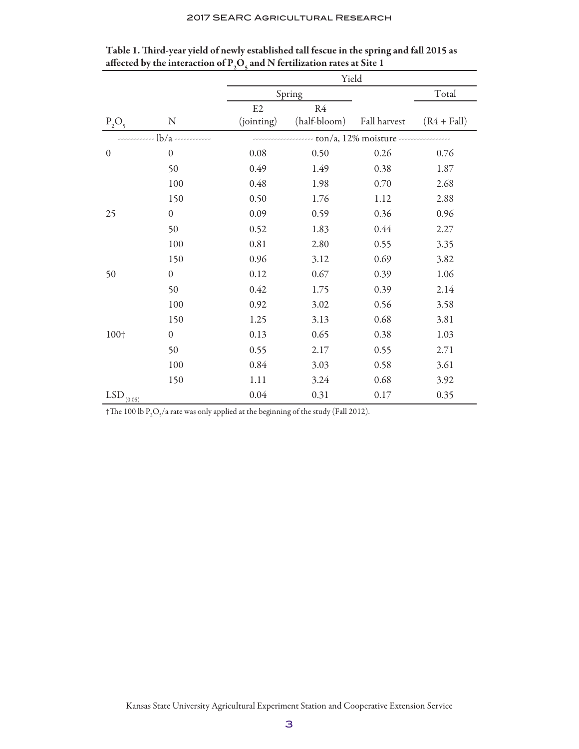#### 2017 SEARC Agricultural Research

|                             |                  | Yield                                        |              |              |               |  |  |
|-----------------------------|------------------|----------------------------------------------|--------------|--------------|---------------|--|--|
|                             |                  | Spring                                       |              |              | Total         |  |  |
|                             |                  | E2                                           | R4           |              |               |  |  |
| $P_2O_5$                    | N                | (jointing)                                   | (half-bloom) | Fall harvest | $(R4 + Fall)$ |  |  |
| $\frac{1}{b/a}$ ----------- |                  | ----------- ton/a, 12% moisture ------------ |              |              |               |  |  |
| $\mathbf{0}$                | $\boldsymbol{0}$ | 0.08                                         | 0.50         | 0.26         | 0.76          |  |  |
|                             | 50               | 0.49                                         | 1.49         | 0.38         | 1.87          |  |  |
|                             | 100              | 0.48                                         | 1.98         | 0.70         | 2.68          |  |  |
|                             | 150              | 0.50                                         | 1.76         | 1.12         | 2.88          |  |  |
| 25                          | $\boldsymbol{0}$ | 0.09                                         | 0.59         | 0.36         | 0.96          |  |  |
|                             | 50               | 0.52                                         | 1.83         | 0.44         | 2.27          |  |  |
|                             | 100              | 0.81                                         | 2.80         | 0.55         | 3.35          |  |  |
|                             | 150              | 0.96                                         | 3.12         | 0.69         | 3.82          |  |  |
| 50                          | $\mathbf{0}$     | 0.12                                         | 0.67         | 0.39         | 1.06          |  |  |
|                             | 50               | 0.42                                         | 1.75         | 0.39         | 2.14          |  |  |
|                             | 100              | 0.92                                         | 3.02         | 0.56         | 3.58          |  |  |
|                             | 150              | 1.25                                         | 3.13         | 0.68         | 3.81          |  |  |
| 100+                        | $\boldsymbol{0}$ | 0.13                                         | 0.65         | 0.38         | 1.03          |  |  |
|                             | 50               | 0.55                                         | 2.17         | 0.55         | 2.71          |  |  |
|                             | 100              | 0.84                                         | 3.03         | 0.58         | 3.61          |  |  |
|                             | 150              | 1.11                                         | 3.24         | 0.68         | 3.92          |  |  |
| $LSD$ <sub>(0.05)</sub>     |                  | 0.04                                         | 0.31         | 0.17         | 0.35          |  |  |

| Table 1. Third-year yield of newly established tall fescue in the spring and fall 2015 as        |  |
|--------------------------------------------------------------------------------------------------|--|
| affected by the interaction of P <sub>2</sub> O <sub>5</sub> and N fertilization rates at Site 1 |  |

†The 100 lb P<sub>2</sub>O<sub>5</sub>/a rate was only applied at the beginning of the study (Fall 2012).